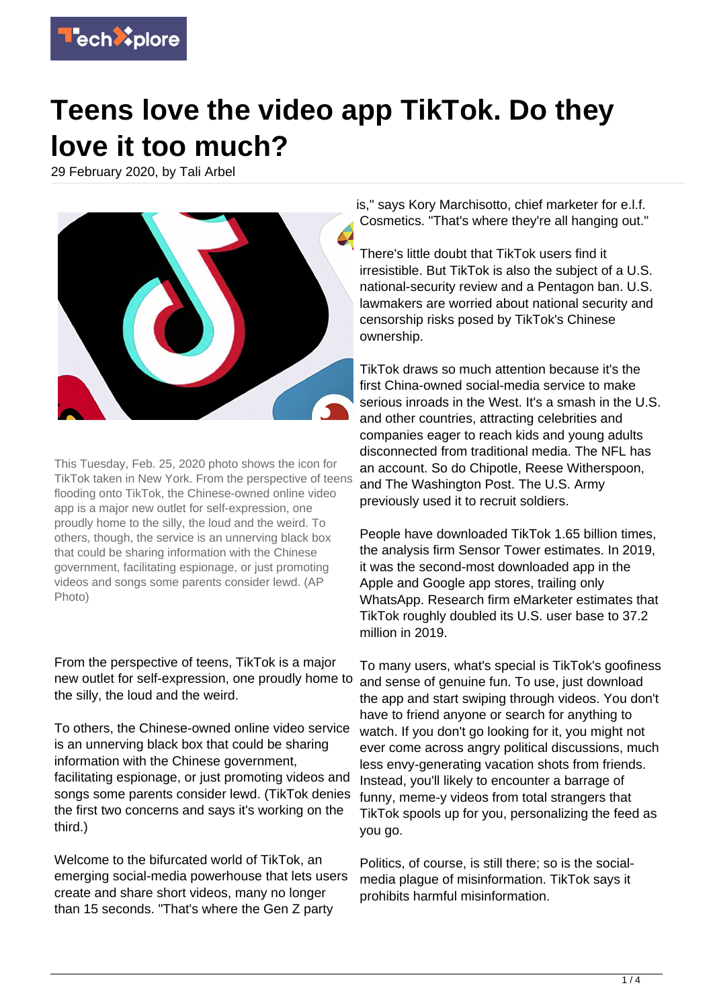

## **Teens love the video app TikTok. Do they love it too much?**

29 February 2020, by Tali Arbel



This Tuesday, Feb. 25, 2020 photo shows the icon for TikTok taken in New York. From the perspective of teens flooding onto TikTok, the Chinese-owned online video app is a major new outlet for self-expression, one proudly home to the silly, the loud and the weird. To others, though, the service is an unnerving black box that could be sharing information with the Chinese government, facilitating espionage, or just promoting videos and songs some parents consider lewd. (AP Photo)

From the perspective of teens, TikTok is a major new outlet for self-expression, one proudly home to the silly, the loud and the weird.

To others, the Chinese-owned online video service is an unnerving black box that could be sharing information with the Chinese government, facilitating espionage, or just promoting videos and songs some parents consider lewd. (TikTok denies the first two concerns and says it's working on the third.)

Welcome to the bifurcated world of TikTok, an emerging social-media powerhouse that lets users create and share short videos, many no longer than 15 seconds. "That's where the Gen Z party

is," says Kory Marchisotto, chief marketer for e.l.f. Cosmetics. "That's where they're all hanging out."

There's little doubt that TikTok users find it irresistible. But TikTok is also the subject of a U.S. national-security review and a Pentagon ban. U.S. lawmakers are worried about national security and censorship risks posed by TikTok's Chinese ownership.

TikTok draws so much attention because it's the first China-owned social-media service to make serious inroads in the West. It's a smash in the U.S. and other countries, attracting celebrities and companies eager to reach kids and young adults disconnected from traditional media. The NFL has an account. So do Chipotle, Reese Witherspoon, and The Washington Post. The U.S. Army previously used it to recruit soldiers.

People have downloaded TikTok 1.65 billion times, the analysis firm Sensor Tower estimates. In 2019, it was the second-most downloaded app in the Apple and Google app stores, trailing only WhatsApp. Research firm eMarketer estimates that TikTok roughly doubled its U.S. user base to 37.2 million in 2019.

To many users, what's special is TikTok's goofiness and sense of genuine fun. To use, just download the app and start swiping through videos. You don't have to friend anyone or search for anything to watch. If you don't go looking for it, you might not ever come across angry political discussions, much less envy-generating vacation shots from friends. Instead, you'll likely to encounter a barrage of funny, meme-y videos from total strangers that TikTok spools up for you, personalizing the feed as you go.

Politics, of course, is still there; so is the socialmedia plague of misinformation. TikTok says it prohibits harmful misinformation.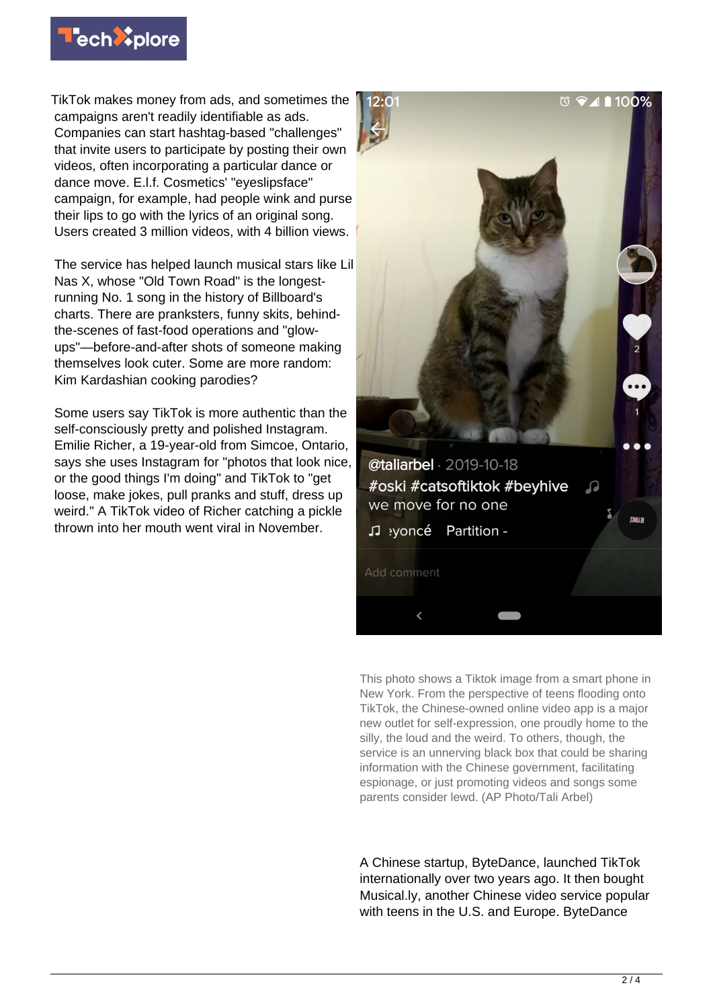

TikTok makes money from ads, and sometimes the campaigns aren't readily identifiable as ads. Companies can start hashtag-based "challenges" that invite users to participate by posting their own videos, often incorporating a particular dance or dance move. E.l.f. Cosmetics' "eyeslipsface" campaign, for example, had people wink and purse their lips to go with the lyrics of an original song. Users created 3 million videos, with 4 billion views.

The service has helped launch musical stars like Lil Nas X, whose "Old Town Road" is the longestrunning No. 1 song in the history of Billboard's charts. There are pranksters, funny skits, behindthe-scenes of fast-food operations and "glowups"—before-and-after shots of someone making themselves look cuter. Some are more random: Kim Kardashian cooking parodies?

Some users say TikTok is more authentic than the self-consciously pretty and polished Instagram. Emilie Richer, a 19-year-old from Simcoe, Ontario, says she uses Instagram for "photos that look nice, or the good things I'm doing" and TikTok to "get loose, make jokes, pull pranks and stuff, dress up weird." A TikTok video of Richer catching a pickle thrown into her mouth went viral in November.



This photo shows a Tiktok image from a smart phone in New York. From the perspective of teens flooding onto TikTok, the Chinese-owned online video app is a major new outlet for self-expression, one proudly home to the silly, the loud and the weird. To others, though, the service is an unnerving black box that could be sharing information with the Chinese government, facilitating espionage, or just promoting videos and songs some parents consider lewd. (AP Photo/Tali Arbel)

A Chinese startup, ByteDance, launched TikTok internationally over two years ago. It then bought Musical.ly, another Chinese video service popular with teens in the U.S. and Europe. ByteDance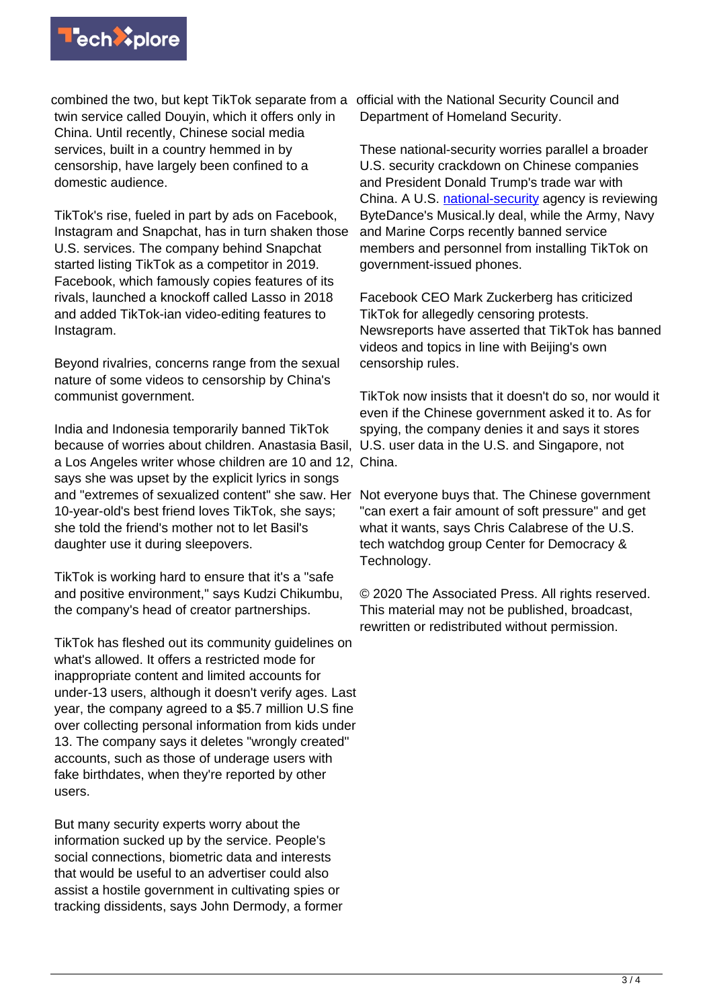

combined the two, but kept TikTok separate from a official with the National Security Council and twin service called Douyin, which it offers only in China. Until recently, Chinese social media services, built in a country hemmed in by censorship, have largely been confined to a domestic audience.

TikTok's rise, fueled in part by ads on Facebook, Instagram and Snapchat, has in turn shaken those U.S. services. The company behind Snapchat started listing TikTok as a competitor in 2019. Facebook, which famously copies features of its rivals, launched a knockoff called Lasso in 2018 and added TikTok-ian video-editing features to Instagram.

Beyond rivalries, concerns range from the sexual nature of some videos to censorship by China's communist government.

India and Indonesia temporarily banned TikTok because of worries about children. Anastasia Basil, a Los Angeles writer whose children are 10 and 12, China. says she was upset by the explicit lyrics in songs and "extremes of sexualized content" she saw. Her Not everyone buys that. The Chinese government 10-year-old's best friend loves TikTok, she says; she told the friend's mother not to let Basil's daughter use it during sleepovers.

TikTok is working hard to ensure that it's a "safe and positive environment," says Kudzi Chikumbu, the company's head of creator partnerships.

TikTok has fleshed out its community guidelines on what's allowed. It offers a restricted mode for inappropriate content and limited accounts for under-13 users, although it doesn't verify ages. Last year, the company agreed to a \$5.7 million U.S fine over collecting personal information from kids under 13. The company says it deletes "wrongly created" accounts, such as those of underage users with fake birthdates, when they're reported by other users.

But many security experts worry about the information sucked up by the service. People's social connections, biometric data and interests that would be useful to an advertiser could also assist a hostile government in cultivating spies or tracking dissidents, says John Dermody, a former Department of Homeland Security.

These national-security worries parallel a broader U.S. security crackdown on Chinese companies and President Donald Trump's trade war with China. A U.S. [national-security](https://techxplore.com/tags/national+security/) agency is reviewing ByteDance's Musical.ly deal, while the Army, Navy and Marine Corps recently banned service members and personnel from installing TikTok on government-issued phones.

Facebook CEO Mark Zuckerberg has criticized TikTok for allegedly censoring protests. Newsreports have asserted that TikTok has banned videos and topics in line with Beijing's own censorship rules.

TikTok now insists that it doesn't do so, nor would it even if the Chinese government asked it to. As for spying, the company denies it and says it stores U.S. user data in the U.S. and Singapore, not

"can exert a fair amount of soft pressure" and get what it wants, says Chris Calabrese of the U.S. tech watchdog group Center for Democracy & Technology.

© 2020 The Associated Press. All rights reserved. This material may not be published, broadcast, rewritten or redistributed without permission.